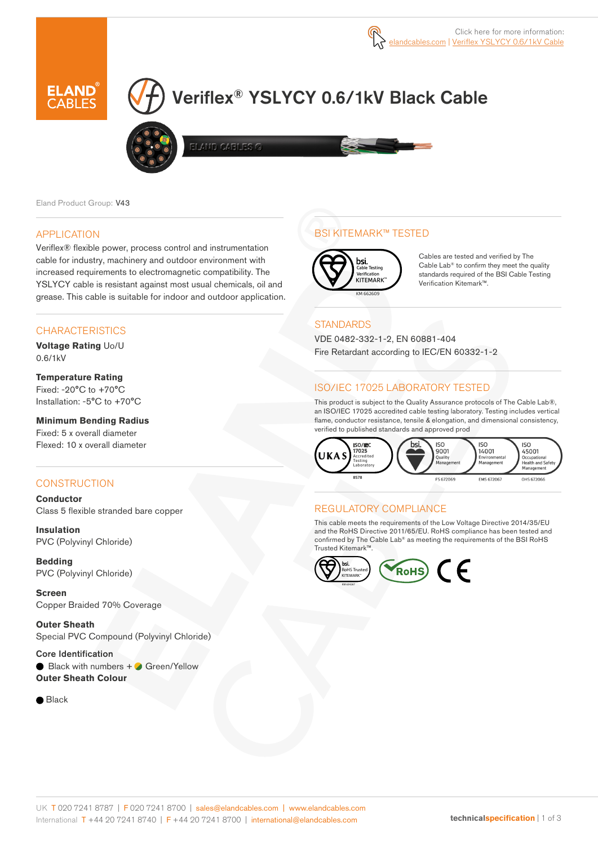

# Veriflex® YSLYCY 0.6/1kV Black Cable



ELAND CABLES G

Eland Product Group: V43

#### APPLICATION

Veriflex® flexible power, process control and instrumentation cable for industry, machinery and outdoor environment with increased requirements to electromagnetic compatibility. The YSLYCY cable is resistant against most usual chemicals, oil and grease. This cable is suitable for indoor and outdoor application.

#### **CHARACTERISTICS**

**Voltage Rating** Uo/U 0.6/1kV

**Temperature Rating** Fixed: -20°C to +70°C Installation: -5°C to +70°C

**Minimum Bending Radius**  Fixed: 5 x overall diameter Flexed: 10 x overall diameter

#### **CONSTRUCTION**

**Conductor** Class 5 flexible stranded bare copper

**Insulation** PVC (Polyvinyl Chloride)

**Bedding** PVC (Polyvinyl Chloride)

**Screen** Copper Braided 70% Coverage

**Outer Sheath** Special PVC Compound (Polyvinyl Chloride)

Core Identification  $\Box$  Black with numbers  $+$   $\Box$  Green/Yellow **Outer Sheath Colour** 

 $\bullet$  Black

## BSI KITEMARK™ TESTED



Cables are tested and verified by The Cable Lab® to confirm they meet the quality standards required of the BSI Cable Testing Verification Kitemark™.

#### **STANDARDS**

VDE 0482-332-1-2, EN 60881-404 Fire Retardant according to IEC/EN 60332-1-2

#### ISO/IEC 17025 LABORATORY TESTED

This product is subject to the Quality Assurance protocols of The Cable Lab®, an ISO/IEC 17025 accredited cable testing laboratory. Testing includes vertical flame, conductor resistance, tensile & elongation, and dimensional consistency, verified to published standards and approved prod



## REGULATORY COMPLIANCE

This cable meets the requirements of the Low Voltage Directive 2014/35/EU and the RoHS Directive 2011/65/EU. RoHS compliance has been tested and confirmed by The Cable Lab® as meeting the requirements of the BSI RoHS Trusted Kitemark™.

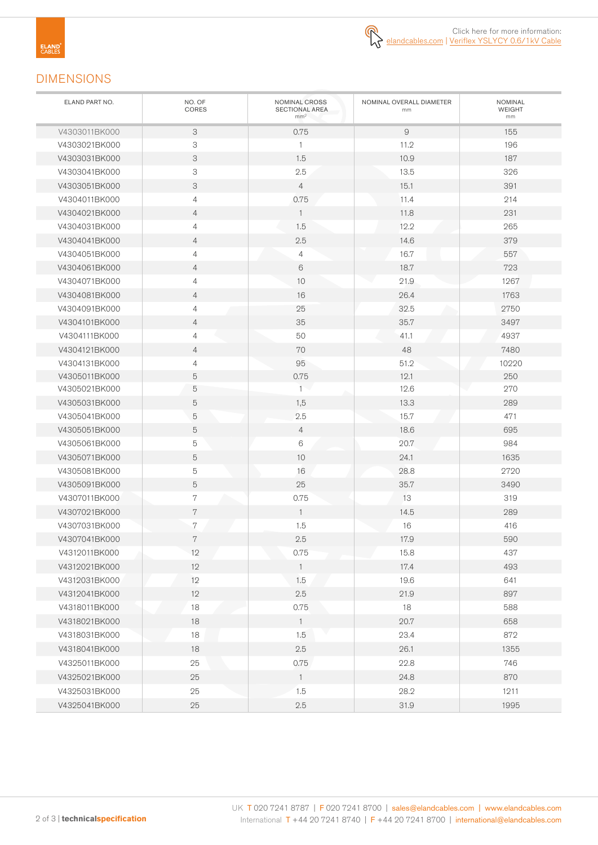## DIMENSIONS

| ELAND PART NO. | NO. OF<br>CORES           | NOMINAL CROSS<br>SECTIONAL AREA<br>mm <sup>2</sup> | NOMINAL OVERALL DIAMETER<br>mm | NOMINAL<br>WEIGHT<br>mm |
|----------------|---------------------------|----------------------------------------------------|--------------------------------|-------------------------|
| V4303011BK000  | 3                         | 0.75                                               | $\mathsf{9}$                   | 155                     |
| V4303021BK000  | $\ensuremath{\mathsf{3}}$ | 1                                                  | 11.2                           | 196                     |
| V4303031BK000  | $\ensuremath{\mathsf{3}}$ | 1.5                                                | 10.9                           | 187                     |
| V4303041BK000  | $\ensuremath{\mathsf{3}}$ | 2.5                                                | 13.5                           | 326                     |
| V4303051BK000  | 3                         | $\overline{4}$                                     | 15.1                           | 391                     |
| V4304011BK000  | 4                         | 0.75                                               | 11.4                           | 214                     |
| V4304021BK000  | $\overline{4}$            | $\overline{1}$                                     | 11.8                           | 231                     |
| V4304031BK000  | $\overline{4}$            | 1.5                                                | 12.2                           | 265                     |
| V4304041BK000  | $\overline{4}$            | 2.5                                                | 14.6                           | 379                     |
| V4304051BK000  | $\overline{4}$            | $\overline{4}$                                     | 16.7                           | 557                     |
| V4304061BK000  | 4                         | 6                                                  | 18.7                           | 723                     |
| V4304071BK000  | $\overline{4}$            | 10                                                 | 21.9                           | 1267                    |
| V4304081BK000  | $\overline{4}$            | 16                                                 | 26.4                           | 1763                    |
| V4304091BK000  | $\overline{4}$            | 25                                                 | 32.5                           | 2750                    |
| V4304101BK000  | $\overline{4}$            | 35                                                 | 35.7                           | 3497                    |
| V4304111BK000  | $\overline{4}$            | 50                                                 | 41.1                           | 4937                    |
| V4304121BK000  | $\overline{4}$            | 70                                                 | 48                             | 7480                    |
| V4304131BK000  | $\overline{4}$            | 95                                                 | 51.2                           | 10220                   |
| V4305011BK000  | 5                         | 0.75                                               | 12.1                           | 250                     |
| V4305021BK000  | 5                         | $\mathbf{1}$                                       | 12.6                           | 270                     |
| V4305031BK000  | 5                         | 1,5                                                | 13.3                           | 289                     |
| V4305041BK000  | 5                         | 2.5                                                | 15.7                           | 471                     |
| V4305051BK000  | 5                         | $\overline{4}$                                     | 18.6                           | 695                     |
| V4305061BK000  | $\mathbf 5$               | 6                                                  | 20.7                           | 984                     |
| V4305071BK000  | $\mathbf 5$               | 10                                                 | 24.1                           | 1635                    |
| V4305081BK000  | 5                         | 16                                                 | 28.8                           | 2720                    |
| V4305091BK000  | 5                         | 25                                                 | 35.7                           | 3490                    |
| V4307011BK000  | $\,7$                     | 0.75                                               | 13                             | 319                     |
| V4307021BK000  | 7                         | $\overline{1}$                                     | 14.5                           | 289                     |
| V4307031BK000  | 7                         | 1.5                                                | 16                             | 416                     |
| V4307041BK000  | 7                         | 2.5                                                | 17.9                           | 590                     |
| V4312011BK000  | 12                        | 0.75                                               | 15.8                           | 437                     |
| V4312021BK000  | 12                        | $\overline{1}$                                     | 17.4                           | 493                     |
| V4312031BK000  | 12                        | 1.5                                                | 19.6                           | 641                     |
| V4312041BK000  | 12                        | 2.5                                                | 21.9                           | 897                     |
| V4318011BK000  | $18$                      | 0.75                                               | 18                             | 588                     |
| V4318021BK000  | 18                        | $\overline{1}$                                     | 20.7                           | 658                     |
| V4318031BK000  | 18                        | 1.5                                                | 23.4                           | 872                     |
| V4318041BK000  | 18                        | $2.5\,$                                            | 26.1                           | 1355                    |
| V4325011BK000  | 25                        | 0.75                                               | 22.8                           | 746                     |
| V4325021BK000  | 25                        | $\overline{1}$                                     | 24.8                           | 870                     |
| V4325031BK000  | 25                        | 1.5                                                | 28.2                           | 1211                    |
| V4325041BK000  | $25\,$                    | $2.5\,$                                            | 31.9                           | 1995                    |